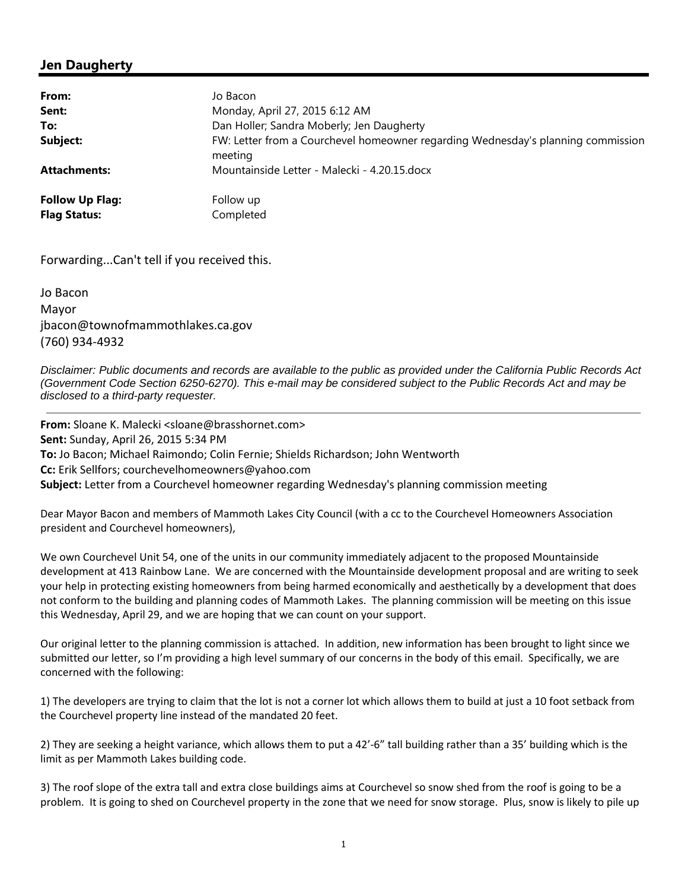## **Jen Daugherty**

| Jo Bacon                                                                                    |
|---------------------------------------------------------------------------------------------|
| Monday, April 27, 2015 6:12 AM                                                              |
| Dan Holler; Sandra Moberly; Jen Daugherty                                                   |
| FW: Letter from a Courchevel homeowner regarding Wednesday's planning commission<br>meeting |
| Mountainside Letter - Malecki - 4.20.15.docx                                                |
| Follow up                                                                                   |
| Completed                                                                                   |
|                                                                                             |

Forwarding...Can't tell if you received this.

Jo Bacon Mayor jbacon@townofmammothlakes.ca.gov (760) 934-4932

*Disclaimer: Public documents and records are available to the public as provided under the California Public Records Act (Government Code Section 6250-6270). This e-mail may be considered subject to the Public Records Act and may be disclosed to a third-party requester.*

**From:** Sloane K. Malecki <sloane@brasshornet.com> **Sent:** Sunday, April 26, 2015 5:34 PM **To:** Jo Bacon; Michael Raimondo; Colin Fernie; Shields Richardson; John Wentworth **Cc:** Erik Sellfors; courchevelhomeowners@yahoo.com **Subject:** Letter from a Courchevel homeowner regarding Wednesday's planning commission meeting

Dear Mayor Bacon and members of Mammoth Lakes City Council (with a cc to the Courchevel Homeowners Association president and Courchevel homeowners),

We own Courchevel Unit 54, one of the units in our community immediately adjacent to the proposed Mountainside development at 413 Rainbow Lane. We are concerned with the Mountainside development proposal and are writing to seek your help in protecting existing homeowners from being harmed economically and aesthetically by a development that does not conform to the building and planning codes of Mammoth Lakes. The planning commission will be meeting on this issue this Wednesday, April 29, and we are hoping that we can count on your support.

Our original letter to the planning commission is attached. In addition, new information has been brought to light since we submitted our letter, so I'm providing a high level summary of our concerns in the body of this email. Specifically, we are concerned with the following:

1) The developers are trying to claim that the lot is not a corner lot which allows them to build at just a 10 foot setback from the Courchevel property line instead of the mandated 20 feet.

2) They are seeking a height variance, which allows them to put a 42'-6" tall building rather than a 35' building which is the limit as per Mammoth Lakes building code.

3) The roof slope of the extra tall and extra close buildings aims at Courchevel so snow shed from the roof is going to be a problem. It is going to shed on Courchevel property in the zone that we need for snow storage. Plus, snow is likely to pile up